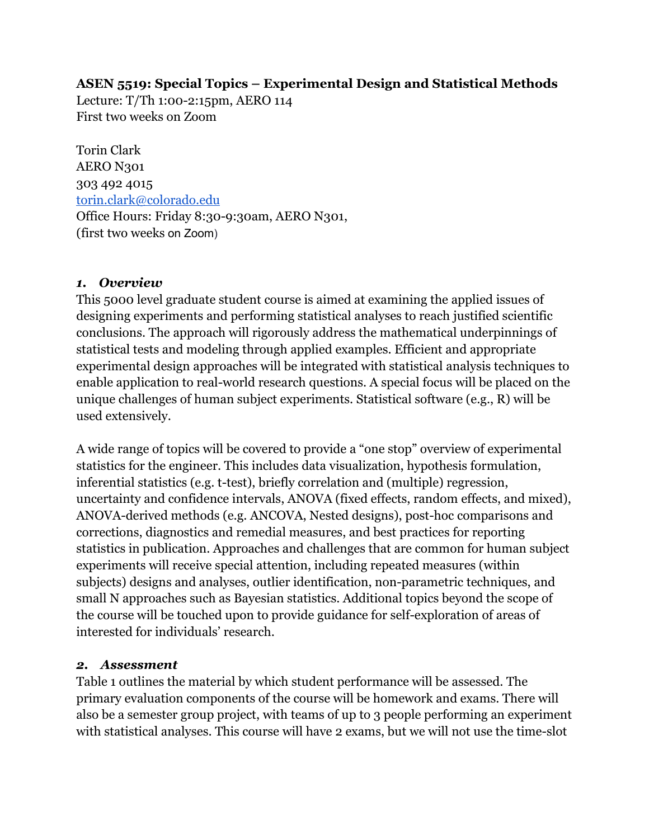## **ASEN 5519: Special Topics – Experimental Design and Statistical Methods**

Lecture: T/Th 1:00-2:15pm, AERO 114 First two weeks on Zoom

Torin Clark **AERO N301** 303 492 4015 [torin.clark@colorado.edu](mailto:torin.clark@colorado.edu) Office Hours: Friday 8:30-9:30am, AERO N301, (first two weeks on Zoom)

#### *1. Overview*

This 5000 level graduate student course is aimed at examining the applied issues of designing experiments and performing statistical analyses to reach justified scientific conclusions. The approach will rigorously address the mathematical underpinnings of statistical tests and modeling through applied examples. Efficient and appropriate experimental design approaches will be integrated with statistical analysis techniques to enable application to real-world research questions. A special focus will be placed on the unique challenges of human subject experiments. Statistical software (e.g., R) will be used extensively.

A wide range of topics will be covered to provide a "one stop" overview of experimental statistics for the engineer. This includes data visualization, hypothesis formulation, inferential statistics (e.g. t-test), briefly correlation and (multiple) regression, uncertainty and confidence intervals, ANOVA (fixed effects, random effects, and mixed), ANOVA-derived methods (e.g. ANCOVA, Nested designs), post-hoc comparisons and corrections, diagnostics and remedial measures, and best practices for reporting statistics in publication. Approaches and challenges that are common for human subject experiments will receive special attention, including repeated measures (within subjects) designs and analyses, outlier identification, non-parametric techniques, and small N approaches such as Bayesian statistics. Additional topics beyond the scope of the course will be touched upon to provide guidance for self-exploration of areas of interested for individuals' research.

#### *2. Assessment*

Table 1 outlines the material by which student performance will be assessed. The primary evaluation components of the course will be homework and exams. There will also be a semester group project, with teams of up to 3 people performing an experiment with statistical analyses. This course will have 2 exams, but we will not use the time-slot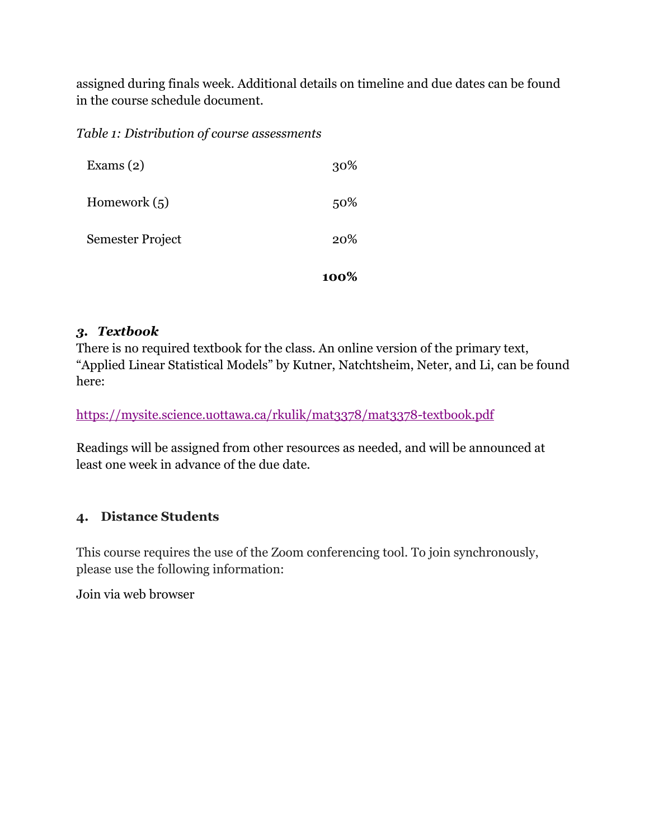assigned during finals week. Additional details on timeline and due dates can be found in the course schedule document.

*Table 1: Distribution of course assessments*

| Exams $(2)$             | 30% |
|-------------------------|-----|
| Homework $(5)$          | 50% |
| <b>Semester Project</b> | 20% |
|                         |     |

## *3. Textbook*

There is no required textbook for the class. An online version of the primary text, "Applied Linear Statistical Models" by Kutner, Natchtsheim, Neter, and Li, can be found here:

<https://mysite.science.uottawa.ca/rkulik/mat3378/mat3378-textbook.pdf>

Readings will be assigned from other resources as needed, and will be announced at least one week in advance of the due date.

# **4. Distance Students**

This course requires the use of the Zoom conferencing tool. To join synchronously, please use the following information:

Join via web browser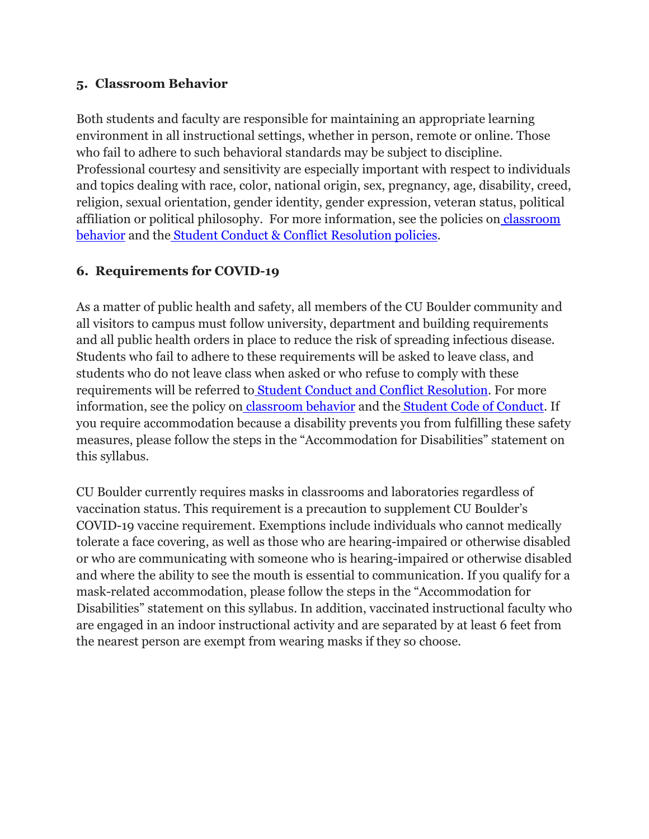#### **5. Classroom Behavior**

Both students and faculty are responsible for maintaining an appropriate learning environment in all instructional settings, whether in person, remote or online. Those who fail to adhere to such behavioral standards may be subject to discipline. Professional courtesy and sensitivity are especially important with respect to individuals and topics dealing with race, color, national origin, sex, pregnancy, age, disability, creed, religion, sexual orientation, gender identity, gender expression, veteran status, political affiliation or political philosophy. For more information, see the policies o[n](http://www.colorado.edu/policies/student-classroom-and-course-related-behavior) [classroom](http://www.colorado.edu/policies/student-classroom-and-course-related-behavior)  [behavior](http://www.colorado.edu/policies/student-classroom-and-course-related-behavior) and the [Student Conduct & Conflict Resolution policies.](https://www.colorado.edu/sccr/student-conduct)

# **6. Requirements for COVID-19**

As a matter of public health and safety, all members of the CU Boulder community and all visitors to campus must follow university, department and building requirements and all public health orders in place to reduce the risk of spreading infectious disease. Students who fail to adhere to these requirements will be asked to leave class, and students who do not leave class when asked or who refuse to comply with these requirements will be referred to [Student Conduct and Conflict Resolution.](https://www.colorado.edu/sccr/) For more information, see the policy on [classroom behavior](http://www.colorado.edu/policies/student-classroom-and-course-related-behavior) and the [Student Code of Conduct.](http://www.colorado.edu/osccr/) If you require accommodation because a disability prevents you from fulfilling these safety measures, please follow the steps in the "Accommodation for Disabilities" statement on this syllabus.

CU Boulder currently requires masks in classrooms and laboratories regardless of vaccination status. This requirement is a precaution to supplement CU Boulder's COVID-19 vaccine requirement. Exemptions include individuals who cannot medically tolerate a face covering, as well as those who are hearing-impaired or otherwise disabled or who are communicating with someone who is hearing-impaired or otherwise disabled and where the ability to see the mouth is essential to communication. If you qualify for a mask-related accommodation, please follow the steps in the "Accommodation for Disabilities" statement on this syllabus. In addition, vaccinated instructional faculty who are engaged in an indoor instructional activity and are separated by at least 6 feet from the nearest person are exempt from wearing masks if they so choose.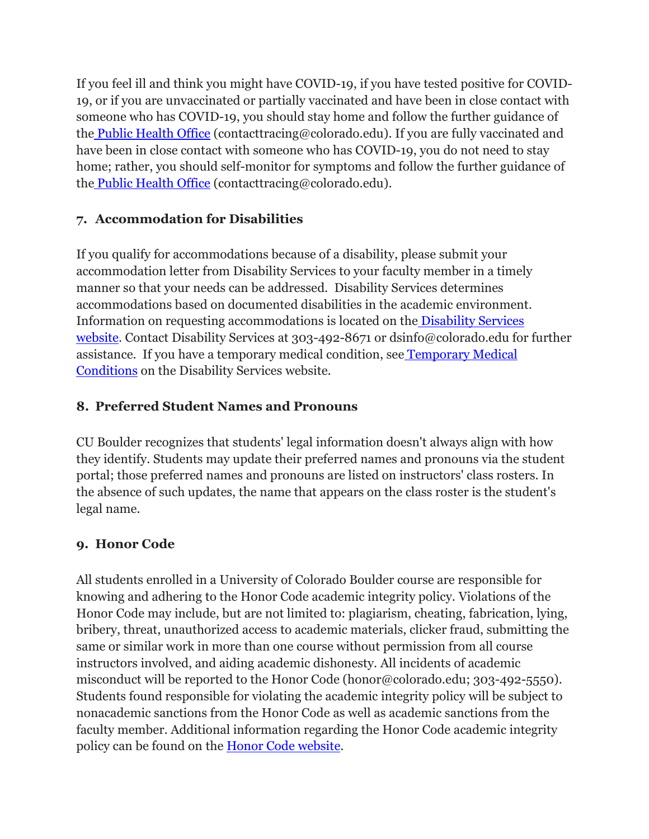If you feel ill and think you might have COVID-19, if you have tested positive for COVID-19, or if you are unvaccinated or partially vaccinated and have been in close contact with someone who has COVID-19, you should stay home and follow the further guidance of the [Public Health Office](https://www.colorado.edu/health/public-health/quarantine-and-isolation) (contacttracing@colorado.edu). If you are fully vaccinated and have been in close contact with someone who has COVID-19, you do not need to stay home; rather, you should self-monitor for symptoms and follow the further guidance of the [Public Health Office](https://www.colorado.edu/health/public-health/quarantine-and-isolation) (contacttracing@colorado.edu).

# **7. Accommodation for Disabilities**

If you qualify for accommodations because of a disability, please submit your accommodation letter from Disability Services to your faculty member in a timely manner so that your needs can be addressed. Disability Services determines accommodations based on documented disabilities in the academic environment. Information on requesting accommodations is located on the [Disability Services](https://www.colorado.edu/disabilityservices/)  [website.](https://www.colorado.edu/disabilityservices/) Contact Disability Services at 303-492-8671 or dsinfo@colorado.edu for further assistance. If you have a temporary medical condition, see [Temporary Medical](http://www.colorado.edu/disabilityservices/students/temporary-medical-conditions)  [Conditions](http://www.colorado.edu/disabilityservices/students/temporary-medical-conditions) on the Disability Services website.

# **8. Preferred Student Names and Pronouns**

CU Boulder recognizes that students' legal information doesn't always align with how they identify. Students may update their preferred names and pronouns via the student portal; those preferred names and pronouns are listed on instructors' class rosters. In the absence of such updates, the name that appears on the class roster is the student's legal name.

## **9. Honor Code**

All students enrolled in a University of Colorado Boulder course are responsible for knowing and adhering to the Honor Code academic integrity policy. Violations of the Honor Code may include, but are not limited to: plagiarism, cheating, fabrication, lying, bribery, threat, unauthorized access to academic materials, clicker fraud, submitting the same or similar work in more than one course without permission from all course instructors involved, and aiding academic dishonesty. All incidents of academic misconduct will be reported to the Honor Code (honor@colorado.edu; 303-492-5550). Students found responsible for violating the academic integrity policy will be subject to nonacademic sanctions from the Honor Code as well as academic sanctions from the faculty member. Additional information regarding the Honor Code academic integrity policy can be found on the [Honor Code website.](https://www.colorado.edu/osccr/honor-code)